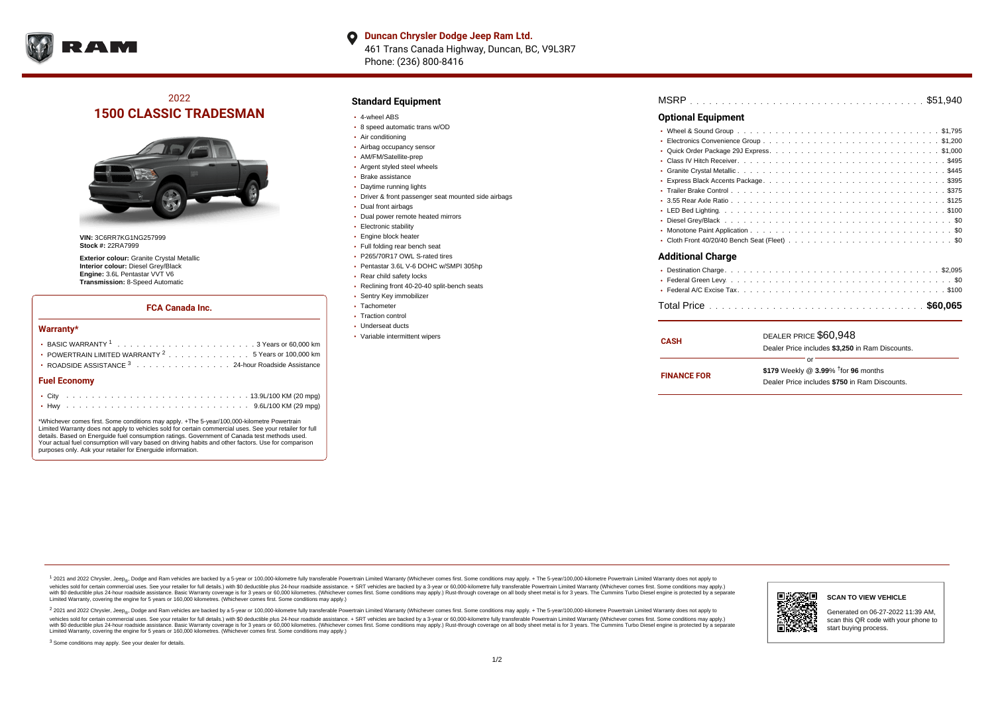

**Duncan Chrysler Dodge Jeep Ram Ltd.**  $\bullet$ 461 Trans Canada Highway, Duncan, BC, V9L3R7 Phone: (236) 800-8416

# 2022 **1500 CLASSIC TRADESMAN**



**VIN:** 3C6RR7KG1NG257999 **Stock #:** 22RA7999

**Exterior colour:** Granite Crystal Metallic **Interior colour:** Diesel Grey/Black **Engine:** 3.6L Pentastar VVT V6 **Transmission:** 8-Speed Automatic

#### **FCA Canada Inc.**

#### **Warranty\***

| POWERTRAIN LIMITED WARRANTY $2, \ldots, \ldots, \ldots, \ldots, 5$ Years or 100,000 km<br>• ROADSIDE ASSISTANCE 3 24-hour Roadside Assistance |  |  |  |  |  |  |  |  |  |  |  |  |  |  |  |
|-----------------------------------------------------------------------------------------------------------------------------------------------|--|--|--|--|--|--|--|--|--|--|--|--|--|--|--|
| <b>Fuel Economy</b>                                                                                                                           |  |  |  |  |  |  |  |  |  |  |  |  |  |  |  |
|                                                                                                                                               |  |  |  |  |  |  |  |  |  |  |  |  |  |  |  |
|                                                                                                                                               |  |  |  |  |  |  |  |  |  |  |  |  |  |  |  |

\*Whichever comes first. Some conditions may apply. +The 5-year/100,000-kilometre Powertrain Limited Warranty does not apply to vehicles sold for certain commercial uses. See your retailer for full details. Based on Energuide fuel consumption ratings. Government of Canada test methods used. Your actual fuel consumption will vary based on driving habits and other factors. Use for comparison purposes only. Ask your retailer for Energuide information.

#### **Standard Equipment**

- 4-wheel ABS
- 8 speed automatic trans w/OD
- Air conditioning
- Airbag occupancy sensor
- AM/FM/Satellite-prep
- Argent styled steel wheels
- Brake assistance
- Daytime running lights
- Driver & front passenger seat mounted side airbags
- Dual front airbags
- Dual power remote heated mirrors
- Electronic stability
- Engine block heater
- Full folding rear bench seat
- P265/70R17 OWL S-rated tires
- Pentastar 3.6L V-6 DOHC w/SMPI 305hp
- Rear child safety locks
- Reclining front 40-20-40 split-bench seats
- Sentry Key immobilizer
- Tachometer
- Traction control
- Underseat ducts
- Variable intermittent wipers

| MSRP |  |  |  |  |  |  |  |  |  |  |  |  |  |  |  |  |  |  |  |  |  |  |  |  |  |  |  |  |  |  |  |  |  |  |  |  |  |  |
|------|--|--|--|--|--|--|--|--|--|--|--|--|--|--|--|--|--|--|--|--|--|--|--|--|--|--|--|--|--|--|--|--|--|--|--|--|--|--|
|------|--|--|--|--|--|--|--|--|--|--|--|--|--|--|--|--|--|--|--|--|--|--|--|--|--|--|--|--|--|--|--|--|--|--|--|--|--|--|

#### **Optional Equipment**

| <b>Additional Charge</b> |
|--------------------------|
|                          |
|                          |
|                          |
|                          |

| <b>CASH</b>        | DEALER PRICE \$60,948                              |  |  |  |  |  |  |  |
|--------------------|----------------------------------------------------|--|--|--|--|--|--|--|
|                    | Dealer Price includes \$3.250 in Ram Discounts.    |  |  |  |  |  |  |  |
|                    | ΩF                                                 |  |  |  |  |  |  |  |
| <b>FINANCE FOR</b> | \$179 Weekly @ $3.99\%$ <sup>†</sup> for 96 months |  |  |  |  |  |  |  |
|                    | Dealer Price includes \$750 in Ram Discounts.      |  |  |  |  |  |  |  |

<sup>1</sup> 2021 and 2022 Chrysler, Jeep<sub>®</sub>, Dodge and Ram vehicles are backed by a 5-year or 100,000-kilometre fully transferable Powertrain Limited Warranty (Whichever comes first. Some conditions may apply. + The 5-year/100,000 vehicles sold for certain commercial uses. See your retailer for full details.) with \$0 deductible plus 24 hour roadside assistance. + SRT vehicles are backed by a 3-year or 60,000-kilometre fully transferable Powertrain L versus and contract the mean of the contract of the contract with a contract with a contract the contract of the contract of the contract the contract of the contract of the contract of the contract of the contract of the Limited Warranty, covering the engine for 5 years or 160,000 kilometres. (Whichever comes first. Some conditions may apply.)

2 2021 and 2022 Chrysler, Jeep<sub>®</sub>, Dodge and Ram vehicles are backed by a 5-year or 100,000-kilometre fully transferable Powertrain Limited Warranty (Whichever comes first. Some conditions may apply. + The 5-year/100,000-k vehicles sold for certain commercial uses. See your retailer for full details.) with SO deductible plus 24-hour roadside assistance. + SRT vehicles are backed by a 3-year or 60.000-kilometre fully transferable Powertrain L with S0 deductible plus 24-hour roadside assistance. Basic Warranty coverage is for 3 years or 60,000 kilometres. (Whichever comes first. Some conditions may apply.) Rust-through coverage on all body sheet metal is for 3 y

<sup>3</sup> Some conditions may apply. See your dealer for details.



Generated on 06-27-2022 11:39 AM, scan this QR code with your phone to start buying process.